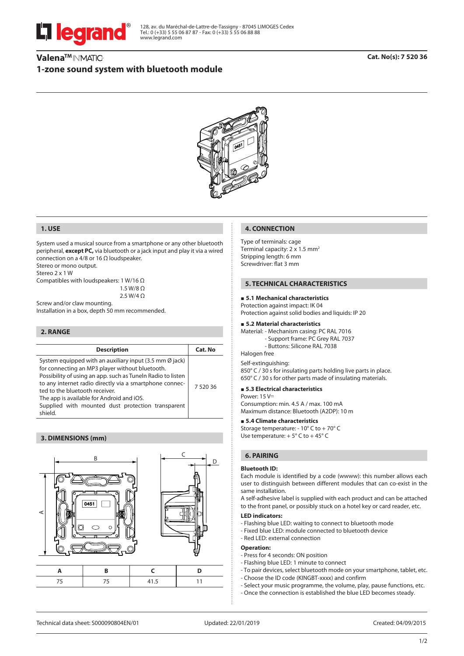

128, av. du Maréchal-de-Lattre-de-Tassigny - 87045 LIMOGES Cedex Tel.: 0 (+33) 5 55 06 87 87 - Fax: 0 (+33) 5 55 06 88 88 www.legrand.com

## Valena<sup>™</sup> IN'MATIC-**1-zone sound system with bluetooth module**



## **1. USE**

System used a musical source from a smartphone or any other bluetooth peripheral, **except PC,** via bluetooth or a jack input and play it via a wired connection on a 4/8 or 16 Ω loudspeaker.

Stereo or mono output.

Stereo 2 x 1 W

Compatibles with loudspeakers: 1 W/16 Ω 1.5 W/8 O

2.5 W/4 Ω

Screw and/or claw mounting. Installation in a box, depth 50 mm recommended.

### **2. RANGE**

| <b>Description</b>                                                                                                                                                                                                                                                                                                                                                                            | Cat. No  |
|-----------------------------------------------------------------------------------------------------------------------------------------------------------------------------------------------------------------------------------------------------------------------------------------------------------------------------------------------------------------------------------------------|----------|
| System equipped with an auxiliary input (3.5 mm $\emptyset$ jack)<br>for connecting an MP3 player without bluetooth.<br>Possibility of using an app. such as Tuneln Radio to listen<br>to any internet radio directly via a smartphone connec-<br>ted to the bluetooth receiver.<br>The app is available for Android and iOS.<br>Supplied with mounted dust protection transparent<br>shield. | 7 520 36 |

### **3. DIMENSIONS (mm)**



### **4. CONNECTION**

Type of terminals: cage Terminal capacity: 2 x 1.5 mm<sup>2</sup> Stripping length: 6 mm Screwdriver: flat 3 mm

## **5. TECHNICAL CHARACTERISTICS**

### **5.1 Mechanical characteristics**

Protection against impact: IK 04 Protection against solid bodies and liquids: IP 20

### **5.2 Material characteristics**

Material: - Mechanism casing: PC RAL 7016 - Support frame: PC Grey RAL 7037

- Buttons: Silicone RAL 7038

Halogen free

Self-extinguishing: 850° C / 30 s for insulating parts holding live parts in place. 650° C / 30 s for other parts made of insulating materials.

### **5.3 Electrical characteristics**

Power: 15 V

Consumption: min. 4.5 A / max. 100 mA Maximum distance: Bluetooth (A2DP): 10 m

## **5.4 Climate characteristics**

Storage temperature: - 10° C to + 70° C Use temperature: + 5° C to + 45° C

## **6. PAIRING**

### **Bluetooth ID:**

Each module is identified by a code (wwww): this number allows each user to distinguish between different modules that can co-exist in the same installation.

A self-adhesive label is supplied with each product and can be attached to the front panel, or possibly stuck on a hotel key or card reader, etc.

### **LED indicators:**

- Flashing blue LED: waiting to connect to bluetooth mode
- Fixed blue LED: module connected to bluetooth device
- Red LED: external connection

### **Operation:**

- Press for 4 seconds: ON position
- Flashing blue LED: 1 minute to connect
- To pair devices, select bluetooth mode on your smartphone, tablet, etc.
- Choose the ID code (KINGBT-xxxx) and confirm
- Select your music programme, the volume, play, pause functions, etc.
- Once the connection is established the blue LED becomes steady.